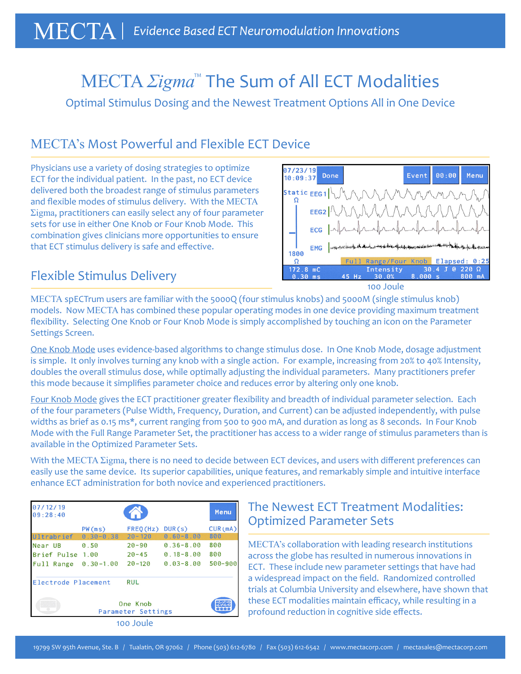# MECTA *Σigma*™ The Sum of All ECT Modalities

Optimal Stimulus Dosing and the Newest Treatment Options All in One Device

## MECTA's Most Powerful and Flexible ECT Device

Physicians use a variety of dosing strategies to optimize ECT for the individual patient. In the past, no ECT device delivered both the broadest range of stimulus parameters and flexible modes of stimulus delivery. With the MECTA Σigma, practitioners can easily select any of four parameter sets for use in either One Knob or Four Knob Mode. This combination gives clinicians more opportunities to ensure that ECT stimulus delivery is safe and effective.





100 Joule

MECTA spECTrum users are familiar with the 5000Q (four stimulus knobs) and 5000M (single stimulus knob) models. Now MECTA has combined these popular operating modes in one device providing maximum treatment flexibility. Selecting One Knob or Four Knob Mode is simply accomplished by touching an icon on the Parameter Settings Screen.

One Knob Mode uses evidence-based algorithms to change stimulus dose. In One Knob Mode, dosage adjustment is simple. It only involves turning any knob with a single action. For example, increasing from 20% to 40% Intensity, doubles the overall stimulus dose, while optimally adjusting the individual parameters. Many practitioners prefer this mode because it simplifies parameter choice and reduces error by altering only one knob.

Four Knob Mode gives the ECT practitioner greater flexibility and breadth of individual parameter selection. Each of the four parameters (Pulse Width, Frequency, Duration, and Current) can be adjusted independently, with pulse widths as brief as 0.15 ms\*, current ranging from 500 to 900 mA, and duration as long as 8 seconds. In Four Knob Mode with the Full Range Parameter Set, the practitioner has access to a wider range of stimulus parameters than is available in the Optimized Parameter Sets.

With the MECTA Σigma, there is no need to decide between ECT devices, and users with different preferences can easily use the same device. Its superior capabilities, unique features, and remarkably simple and intuitive interface enhance ECT administration for both novice and experienced practitioners.

| 07/12/19<br>09:28:40                           |                         |                                      |                                                 | Menu                  |
|------------------------------------------------|-------------------------|--------------------------------------|-------------------------------------------------|-----------------------|
| Ultrabrief                                     | PW(ms)<br>$0.30 - 0.38$ | FRED(Hz)<br>$20 - 120$               | DUR(s)<br>$0.60 - 8.00$                         | CUR(mA)<br>800        |
| Near UB<br>Brief Pulse<br>Full Range 0.30-1.00 | 0.50<br>1.00            | $20 - 90$<br>$20 - 45$<br>$20 - 120$ | $0.36 - 8.00$<br>$0.18 - 8.00$<br>$0.03 - 8.00$ | 800<br>800<br>500-900 |
| Electrode Placement                            |                         | <b>RUL</b>                           |                                                 |                       |
|                                                |                         |                                      |                                                 |                       |
|                                                |                         | 100 Joule                            |                                                 |                       |

### The Newest ECT Treatment Modalities: Optimized Parameter Sets

MECTA's collaboration with leading research institutions across the globe has resulted in numerous innovations in ECT. These include new parameter settings that have had a widespread impact on the field. Randomized controlled trials at Columbia University and elsewhere, have shown that these ECT modalities maintain efficacy, while resulting in a profound reduction in cognitive side effects.